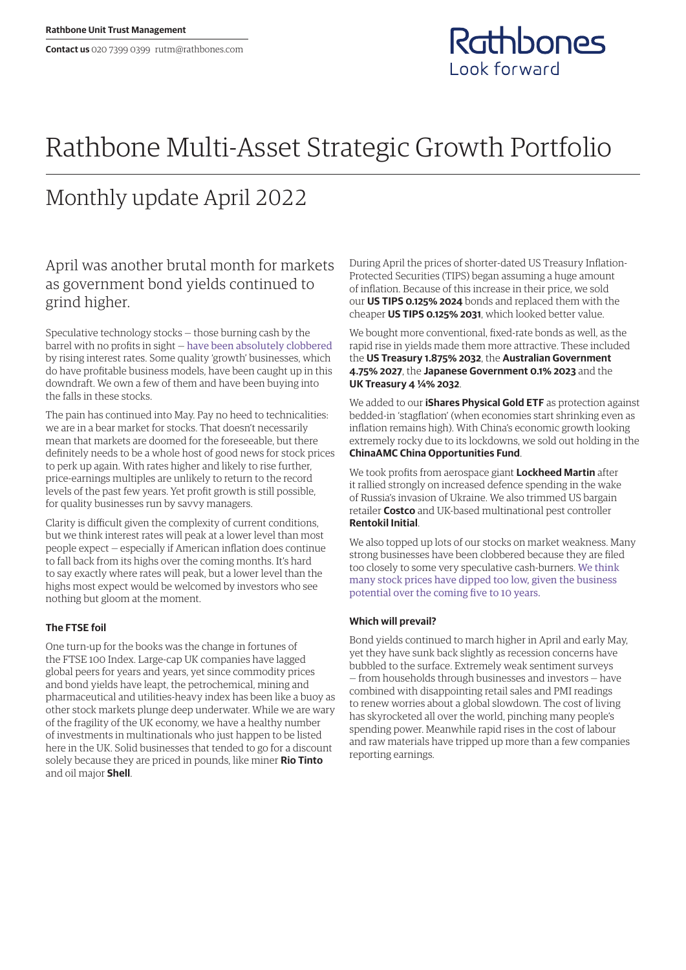

# Rathbone Multi-Asset Strategic Growth Portfolio

## Monthly update April 2022

## April was another brutal month for markets as government bond yields continued to grind higher.

Speculative technology stocks — those burning cash by the barrel with no profits in sight — [have been absolutely clobbered](https://www.rathbones.com/blog/zombie-financing) by rising interest rates. Some quality 'growth' businesses, which do have profitable business models, have been caught up in this downdraft. We own a few of them and have been buying into the falls in these stocks.

The pain has continued into May. Pay no heed to technicalities: we are in a bear market for stocks. That doesn't necessarily mean that markets are doomed for the foreseeable, but there definitely needs to be a whole host of good news for stock prices to perk up again. With rates higher and likely to rise further, price‑earnings multiples are unlikely to return to the record levels of the past few years. Yet profit growth is still possible, for quality businesses run by savvy managers.

Clarity is difficult given the complexity of current conditions, but we think interest rates will peak at a lower level than most people expect — especially if American inflation does continue to fall back from its highs over the coming months. It's hard to say exactly where rates will peak, but a lower level than the highs most expect would be welcomed by investors who see nothing but gloom at the moment.

### **The FTSE foil**

One turn-up for the books was the change in fortunes of the FTSE 100 Index. Large-cap UK companies have lagged global peers for years and years, yet since commodity prices and bond yields have leapt, the petrochemical, mining and pharmaceutical and utilities-heavy index has been like a buoy as other stock markets plunge deep underwater. While we are wary of the fragility of the UK economy, we have a healthy number of investments in multinationals who just happen to be listed here in the UK. Solid businesses that tended to go for a discount solely because they are priced in pounds, like miner **Rio Tinto** and oil major **Shell**.

During April the prices of shorter-dated US Treasury Inflation-Protected Securities (TIPS) began assuming a huge amount of inflation. Because of this increase in their price, we sold our **US TIPS 0.125% 2024** bonds and replaced them with the cheaper **US TIPS 0.125% 2031**, which looked better value.

We bought more conventional, fixed-rate bonds as well, as the rapid rise in yields made them more attractive. These included the **US Treasury 1.875% 2032**, the **Australian Government 4.75% 2027**, the **Japanese Government 0.1% 2023** and the **UK Treasury 4 ¼% 2032**.

We added to our **iShares Physical Gold ETF** as protection against bedded-in 'stagflation' (when economies start shrinking even as inflation remains high). With China's economic growth looking extremely rocky due to its lockdowns, we sold out holding in the **ChinaAMC China Opportunities Fund**.

We took profits from aerospace giant **Lockheed Martin** after it rallied strongly on increased defence spending in the wake of Russia's invasion of Ukraine. We also trimmed US bargain retailer **Costco** and UK-based multinational pest controller **Rentokil Initial**.

We also topped up lots of our stocks on market weakness. Many strong businesses have been clobbered because they are filed too closely to some very speculative cash-burners. [We think](https://linktr.ee/thesharpeend)  [many stock prices have dipped too low, given the business](https://linktr.ee/thesharpeend)  [potential over the coming five to 10 years.](https://linktr.ee/thesharpeend)

#### **Which will prevail?**

Bond yields continued to march higher in April and early May, yet they have sunk back slightly as recession concerns have bubbled to the surface. Extremely weak sentiment surveys — from households through businesses and investors — have combined with disappointing retail sales and PMI readings to renew worries about a global slowdown. The cost of living has skyrocketed all over the world, pinching many people's spending power. Meanwhile rapid rises in the cost of labour and raw materials have tripped up more than a few companies reporting earnings.